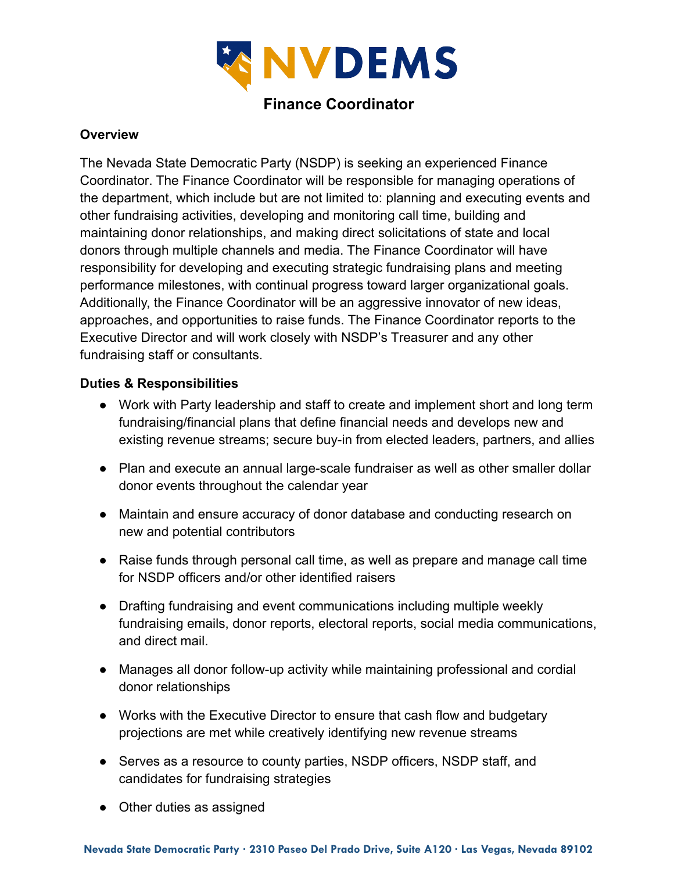

# **Finance Coordinator**

### **Overview**

The Nevada State Democratic Party (NSDP) is seeking an experienced Finance Coordinator. The Finance Coordinator will be responsible for managing operations of the department, which include but are not limited to: planning and executing events and other fundraising activities, developing and monitoring call time, building and maintaining donor relationships, and making direct solicitations of state and local donors through multiple channels and media. The Finance Coordinator will have responsibility for developing and executing strategic fundraising plans and meeting performance milestones, with continual progress toward larger organizational goals. Additionally, the Finance Coordinator will be an aggressive innovator of new ideas, approaches, and opportunities to raise funds. The Finance Coordinator reports to the Executive Director and will work closely with NSDP's Treasurer and any other fundraising staff or consultants.

#### **Duties & Responsibilities**

- Work with Party leadership and staff to create and implement short and long term fundraising/financial plans that define financial needs and develops new and existing revenue streams; secure buy-in from elected leaders, partners, and allies
- Plan and execute an annual large-scale fundraiser as well as other smaller dollar donor events throughout the calendar year
- Maintain and ensure accuracy of donor database and conducting research on new and potential contributors
- Raise funds through personal call time, as well as prepare and manage call time for NSDP officers and/or other identified raisers
- Drafting fundraising and event communications including multiple weekly fundraising emails, donor reports, electoral reports, social media communications, and direct mail.
- Manages all donor follow-up activity while maintaining professional and cordial donor relationships
- Works with the Executive Director to ensure that cash flow and budgetary projections are met while creatively identifying new revenue streams
- Serves as a resource to county parties, NSDP officers, NSDP staff, and candidates for fundraising strategies
- Other duties as assigned